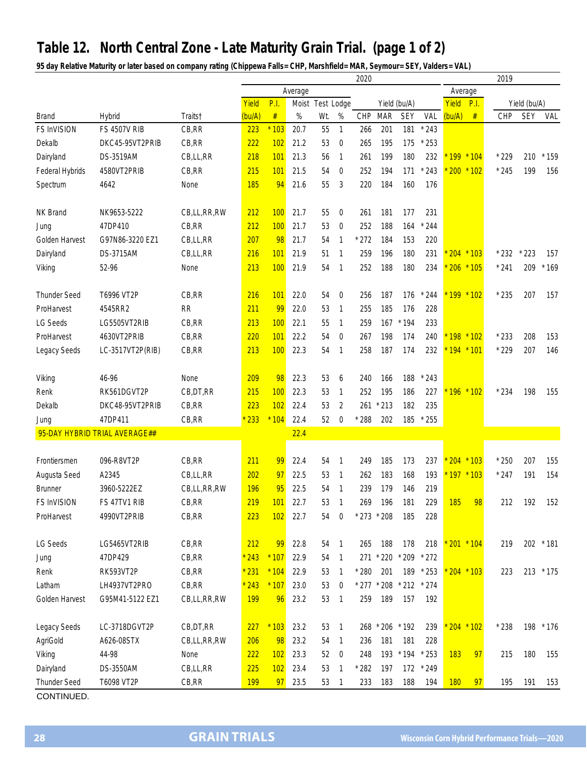## **Table 12. North Central Zone - Late Maturity Grain Trial. (page 1 of 2)**

**95 day Relative Maturity or later based on company rating (Chippewa Falls= CHP, Marshfield= MAR, Seymour= SEY, Valders= VAL)**

|                     |                               |             | 2020       |         |       |            |                  |                 |                 |              |           |               |         | 2019   |              |           |  |
|---------------------|-------------------------------|-------------|------------|---------|-------|------------|------------------|-----------------|-----------------|--------------|-----------|---------------|---------|--------|--------------|-----------|--|
|                     |                               |             |            | Average |       |            |                  |                 |                 |              |           |               | Average |        |              |           |  |
|                     |                               |             | Yield      | P.I.    | Moist | Test Lodge |                  |                 |                 | Yield (bu/A) |           | Yield<br>P.I. |         |        | Yield (bu/A) |           |  |
| <b>Brand</b>        | <b>Hybrid</b>                 | Traits†     | (bu/A)     | $\#$    | %     | Wt.        | %                | CHP             | <b>MAR</b>      | <b>SEY</b>   | VAL       | (bu/A)        | #       | CHP    | <b>SEY</b>   | VAL       |  |
| <b>FS InVISION</b>  | <b>FS 4507V RIB</b>           | CB, RR      | 223        | $*103$  | 20.7  | 55         | $\mathbf{1}$     | 266             | 201             | 181          | $*243$    |               |         |        |              |           |  |
| Dekalb              | DKC45-95VT2PRIB               | CB,RR       | 222        | 102     | 21.2  | 53         | $\boldsymbol{0}$ | 265             | 195             | 175          | $*253$    |               |         |        |              |           |  |
| Dairyland           | DS-3519AM                     | CB,LL,RR    | 218        | 101     | 21.3  | 56         | $\overline{1}$   | 261             | 199             | 180          | 232       | $199 * 104$   |         | $*229$ | 210          | $*159$    |  |
| Federal Hybrids     | 4580VT2PRIB                   | CB,RR       | 215        | 101     | 21.5  | 54         | $\overline{0}$   | 252             | 194             | 171          | $*243$    | $200 * 102$   |         | $*245$ | 199          | 156       |  |
| Spectrum            | 4642                          | None        | 185        | 94      | 21.6  | 55         | 3                | 220             | 184             | 160          | 176       |               |         |        |              |           |  |
|                     |                               |             |            |         |       |            |                  |                 |                 |              |           |               |         |        |              |           |  |
| <b>NK Brand</b>     | NK9653-5222                   | CB,LL,RR,RW | 212        | 100     | 21.7  | 55         | $\boldsymbol{0}$ | 261             | 181             | 177          | 231       |               |         |        |              |           |  |
| Jung                | 47DP410                       | CB, RR      | 212        | 100     | 21.7  | 53         | $\boldsymbol{0}$ | 252             | 188             | 164          | 244       |               |         |        |              |           |  |
| Golden Harvest      | G97N86-3220 EZ1               | CB,LL,RR    | 207        | 98      | 21.7  | 54         | 1                | $*272$          | 184             | 153          | 220       |               |         |        |              |           |  |
| Dairyland           | <b>DS-3715AM</b>              | CB,LL,RR    | 216        | 101     | 21.9  | 51         | $\mathbf{1}$     | 259             | 196             | 180          | 231       | $204 * 103$   |         | $*232$ | $*223$       | 157       |  |
| Viking              | 52-96                         | None        | 213        | 100     | 21.9  | 54         | $\mathbf{1}$     | 252             | 188             | 180          | 234       | $206 * 105$   |         | $*241$ | 209          | $*169$    |  |
|                     |                               |             |            |         |       |            |                  |                 |                 |              |           |               |         |        |              |           |  |
| <b>Thunder Seed</b> | T6996 VT2P                    | CB, RR      | 216        | 101     | 22.0  | 54         | $\mathbf 0$      | 256             | 187             | 176          | $*244$    | $199 * 102$   |         | $*235$ | 207          | 157       |  |
| ProHarvest          | 4545RR2                       | RR          | 211        | 99      | 22.0  | 53         | $\overline{1}$   | 255             | 185             | 176          | 228       |               |         |        |              |           |  |
| <b>LG Seeds</b>     | LG5505VT2RIB                  | CB, RR      | 213        | 100     | 22.1  | 55         | $\overline{1}$   | 259             | 167             | $*194$       | 233       |               |         |        |              |           |  |
| ProHarvest          | 4630VT2PRIB                   | CB, RR      | 220        | 101     | 22.2  | 54         | $\boldsymbol{0}$ | 267             | 198             | 174          | 240       | $198 * 102$   |         | $*233$ | 208          | 153       |  |
| Legacy Seeds        | LC-3517VT2P(RIB)              | CB, RR      | 213        | 100     | 22.3  | 54         | $\overline{1}$   | 258             | 187             | 174          | 232       | $194 * 101$   |         | $*229$ | 207          | 146       |  |
|                     |                               |             |            |         |       |            |                  |                 |                 |              |           |               |         |        |              |           |  |
| Viking              | 46-96                         | None        | 209        | 98      | 22.3  | 53         | 6                | 240             | 166             | 188          | $*243$    |               |         |        |              |           |  |
| Renk                | RK561DGVT2P                   | CB, DT, RR  | 215        | 100     | 22.3  | 53         | $\mathbf{1}$     | 252             | 195             | 186          | 227       | $196 * 102$   |         | $*234$ | 198          | 155       |  |
| Dekalb              | DKC48-95VT2PRIB               | CB, RR      | 223        | 102     | 22.4  | 53         | $\overline{2}$   | 261             | $*213$          | 182          | 235       |               |         |        |              |           |  |
| Jung                | 47DP411                       | CB,RR       | 233        | $*104$  | 22.4  | 52         | 0                | $*288$          | 202             | 185          | $*255$    |               |         |        |              |           |  |
|                     | 95-DAY HYBRID TRIAL AVERAGE## |             |            |         | 22.4  |            |                  |                 |                 |              |           |               |         |        |              |           |  |
|                     |                               |             |            |         |       |            |                  |                 |                 |              |           |               |         |        |              |           |  |
| Frontiersmen        | 096-R8VT2P                    | CB, RR      | 211        | 99      | 22.4  | 54         | $\overline{1}$   | 249             | 185             | 173          | 237       | $204 * 103$   |         | $*250$ | 207          | 155       |  |
| Augusta Seed        | A2345                         | CB,LL,RR    | 202        | 97      | 22.5  | 53         | $\mathbf{1}$     | 262             | 183             | 168          | 193       | $197 * 103$   |         | $*247$ | 191          | 154       |  |
| <b>Brunner</b>      | 3960-5222EZ                   | CB,LL,RR,RW | 196        | 95      | 22.5  | 54         | $\overline{1}$   | 239             | 179             | 146          | 219       |               |         |        |              |           |  |
| FS InVISION         | FS 47TV1 RIB                  | CB, RR      | 219        | 101     | 22.7  | 53         | 1                | 269             | 196             | 181          | 229       | <b>185</b>    | 98      | 212    | 192          | 152       |  |
| ProHarvest          | 4990VT2PRIB                   | CB,RR       | 223        | 102     | 22.7  | 54         | 0                | $*$ 273 $*$ 208 |                 | 185          | 228       |               |         |        |              |           |  |
|                     |                               |             |            |         |       |            |                  |                 |                 |              |           |               |         |        |              |           |  |
| LG Seeds            | LG5465VT2RIB                  | CB, RR      | 212        | 99      | 22.8  | 54         | $\overline{1}$   | 265             | 188             | 178          | 218       | $201 * 104$   |         | 219    |              | 202 * 181 |  |
| Jung                | 47DP429                       | CB, RR      | $*243$     | $*107$  | 22.9  | 54         | $\overline{1}$   | 271             | $*220$          | $*209$       | $*272$    |               |         |        |              |           |  |
| Renk                | RK593VT2P                     | CB, RR      | $*231$     | $*104$  | 22.9  | 53         | $\overline{1}$   | $*280$          | 201             | 189          | $*253$    | $204 * 103$   |         | 223    |              | 213 * 175 |  |
| Latham              | LH4937VT2PRO                  | CB, RR      | $*243$     | $*107$  | 23.0  | 53         | $\boldsymbol{0}$ | $*277$          | $^{\star}$ 208  | $*212$       | $*274$    |               |         |        |              |           |  |
| Golden Harvest      | G95M41-5122 EZ1               | CB,LL,RR,RW | <b>199</b> | 96      | 23.2  | 53         | $\overline{1}$   | 259             | 189             | 157          | 192       |               |         |        |              |           |  |
|                     |                               |             |            |         |       |            |                  |                 |                 |              |           |               |         |        |              |           |  |
| Legacy Seeds        | LC-3718DGVT2P                 | CB, DT, RR  | 227        | $*103$  | 23.2  | 53         | $\overline{1}$   |                 | 268 * 206 * 192 |              | 239       | $204 * 102$   |         | $*238$ | 198          | $*176$    |  |
| AgriGold            | A626-08STX                    | CB,LL,RR,RW | 206        | 98      | 23.2  | 54         | $\overline{1}$   | 236             | 181             | 181          | 228       |               |         |        |              |           |  |
| Viking              | 44-98                         | None        | 222        | 102     | 23.3  | 52         | $\overline{0}$   | 248             | 193             | $*194$       | $*253$    | 183           | 97      | 215    | 180          | 155       |  |
| Dairyland           | DS-3550AM                     | CB,LL,RR    | 225        | 102     | 23.4  | 53         | $\mathbf{1}$     | $*282$          | 197             |              | 172 * 249 |               |         |        |              |           |  |
| <b>Thunder Seed</b> | T6098 VT2P                    | CB, RR      | 199        | 97      | 23.5  | 53         | $\overline{1}$   | 233             | 183             | 188          | 194       | 180           | 97      | 195    | 191          | 153       |  |
| CONTINUED.          |                               |             |            |         |       |            |                  |                 |                 |              |           |               |         |        |              |           |  |